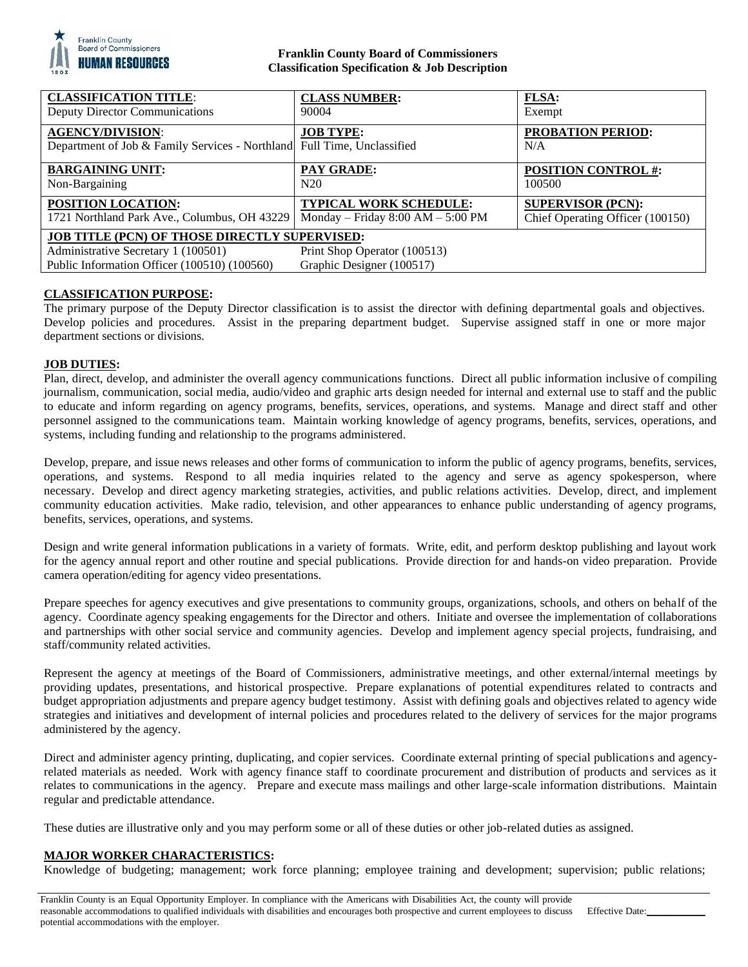

## **Franklin County Board of Commissioners Classification Specification & Job Description**

| <b>CLASSIFICATION TITLE:</b>                                                                                                                                                                             | <b>CLASS NUMBER:</b>                  | <b>FLSA:</b>                     |
|----------------------------------------------------------------------------------------------------------------------------------------------------------------------------------------------------------|---------------------------------------|----------------------------------|
| <b>Deputy Director Communications</b>                                                                                                                                                                    | 90004                                 | Exempt                           |
| <b>AGENCY/DIVISION:</b><br>Department of Job & Family Services - Northland Full Time, Unclassified                                                                                                       | <b>JOB TYPE:</b>                      | <b>PROBATION PERIOD:</b><br>N/A  |
| <b>BARGAINING UNIT:</b>                                                                                                                                                                                  | <b>PAY GRADE:</b>                     | <b>POSITION CONTROL #:</b>       |
| Non-Bargaining                                                                                                                                                                                           | N20                                   | 100500                           |
| <b>POSITION LOCATION:</b>                                                                                                                                                                                | <b>TYPICAL WORK SCHEDULE:</b>         | <b>SUPERVISOR (PCN):</b>         |
| 1721 Northland Park Ave., Columbus, OH 43229                                                                                                                                                             | Monday – Friday $8:00$ AM – $5:00$ PM | Chief Operating Officer (100150) |
| <b>JOB TITLE (PCN) OF THOSE DIRECTLY SUPERVISED:</b><br>Print Shop Operator (100513)<br>Administrative Secretary 1 (100501)<br>Graphic Designer (100517)<br>Public Information Officer (100510) (100560) |                                       |                                  |

# **CLASSIFICATION PURPOSE:**

The primary purpose of the Deputy Director classification is to assist the director with defining departmental goals and objectives. Develop policies and procedures. Assist in the preparing department budget. Supervise assigned staff in one or more major department sections or divisions.

# **JOB DUTIES:**

Plan, direct, develop, and administer the overall agency communications functions. Direct all public information inclusive of compiling journalism, communication, social media, audio/video and graphic arts design needed for internal and external use to staff and the public to educate and inform regarding on agency programs, benefits, services, operations, and systems. Manage and direct staff and other personnel assigned to the communications team. Maintain working knowledge of agency programs, benefits, services, operations, and systems, including funding and relationship to the programs administered.

Develop, prepare, and issue news releases and other forms of communication to inform the public of agency programs, benefits, services, operations, and systems. Respond to all media inquiries related to the agency and serve as agency spokesperson, where necessary. Develop and direct agency marketing strategies, activities, and public relations activities. Develop, direct, and implement community education activities. Make radio, television, and other appearances to enhance public understanding of agency programs, benefits, services, operations, and systems.

Design and write general information publications in a variety of formats. Write, edit, and perform desktop publishing and layout work for the agency annual report and other routine and special publications. Provide direction for and hands-on video preparation. Provide camera operation/editing for agency video presentations.

Prepare speeches for agency executives and give presentations to community groups, organizations, schools, and others on behalf of the agency. Coordinate agency speaking engagements for the Director and others. Initiate and oversee the implementation of collaborations and partnerships with other social service and community agencies. Develop and implement agency special projects, fundraising, and staff/community related activities.

Represent the agency at meetings of the Board of Commissioners, administrative meetings, and other external/internal meetings by providing updates, presentations, and historical prospective. Prepare explanations of potential expenditures related to contracts and budget appropriation adjustments and prepare agency budget testimony. Assist with defining goals and objectives related to agency wide strategies and initiatives and development of internal policies and procedures related to the delivery of services for the major programs administered by the agency.

Direct and administer agency printing, duplicating, and copier services. Coordinate external printing of special publications and agencyrelated materials as needed. Work with agency finance staff to coordinate procurement and distribution of products and services as it relates to communications in the agency. Prepare and execute mass mailings and other large-scale information distributions. Maintain regular and predictable attendance.

These duties are illustrative only and you may perform some or all of these duties or other job-related duties as assigned.

### **MAJOR WORKER CHARACTERISTICS:**

Knowledge of budgeting; management; work force planning; employee training and development; supervision; public relations;